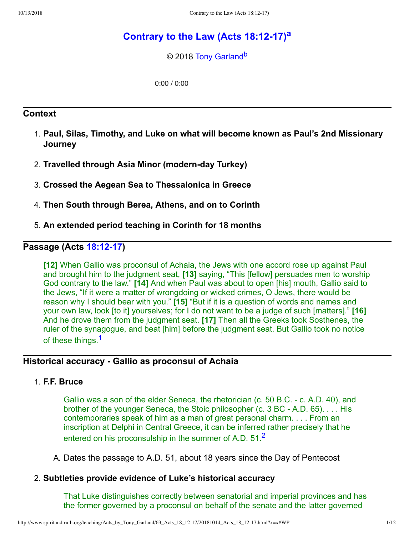# **Contr[a](#page-11-0)ry to the Law (Acts 18:12-17)<sup>a</sup>**

<span id="page-0-3"></span><span id="page-0-2"></span>© 2018 [Tony Garland](http://www.spiritandtruth.org/id/tg.htm)<sup>[b](#page-11-1)</sup>

0:00 / 0:00

### **Context**

- 1. **Paul, Silas, Timothy, and Luke on what will become known as Paul's 2nd Missionary Journey**
- 2. **Travelled through Asia Minor (modernday Turkey)**
- 3. **Crossed the Aegean Sea to Thessalonica in Greece**
- 4. **Then South through Berea, Athens, and on to Corinth**
- 5. **An extended period teaching in Corinth for 18 months**

## **Passage** (Acts **18:12-17)**

**[12]** When Gallio was proconsul of Achaia, the Jews with one accord rose up against Paul and brought him to the judgment seat, **[13]** saying, "This [fellow] persuades men to worship God contrary to the law." **[14]** And when Paul was about to open [his] mouth, Gallio said to the Jews, "If it were a matter of wrongdoing or wicked crimes, O Jews, there would be reason why I should bear with you." **[15]** "But if it is a question of words and names and your own law, look [to it] yourselves; for I do not want to be a judge of such [matters]." **[16]** And he drove them from the judgment seat. **[17]** Then all the Greeks took Sosthenes, the ruler of the synagogue, and beat [him] before the judgment seat. But Gallio took no notice of these things.<sup>[1](#page-10-0)</sup>

## **Historical accuracy Gallio as proconsul of Achaia**

#### 1. **F.F. Bruce**

<span id="page-0-1"></span><span id="page-0-0"></span>Gallio was a son of the elder Seneca, the rhetorician (c. 50 B.C. c. A.D. 40), and brother of the younger Seneca, the Stoic philosopher (c.  $3 BC - A.D. 65$ ).... His contemporaries speak of him as a man of great personal charm. . . . From an inscription at Delphi in Central Greece, it can be inferred rather precisely that he entered on his proconsulship in the summer of A.D.  $51<sup>2</sup>$  $51<sup>2</sup>$  $51<sup>2</sup>$ 

A. Dates the passage to A.D. 51, about 18 years since the Day of Pentecost

#### 2. **Subtleties provide evidence of Luke's historical accuracy**

That Luke distinguishes correctly between senatorial and imperial provinces and has the former governed by a proconsul on behalf of the senate and the latter governed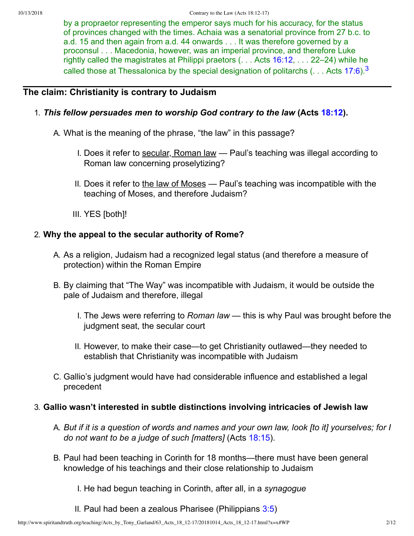<span id="page-1-0"></span>by a propraetor representing the emperor says much for his accuracy, for the status of provinces changed with the times. Achaia was a senatorial province from 27 b.c. to a.d. 15 and then again from a.d. 44 onwards . . . It was therefore governed by a proconsul . . . Macedonia, however, was an imperial province, and therefore Luke rightly called the magistrates at Philippi praetors (. . . Acts [16:12](http://www.spiritandtruth.org/bibles/nasb/b44c016.htm#Acts_C16V12), . . . 22–24) while he called those at Thessalonica by the special designation of politarchs ( $\ldots$  Acts [17:6](http://www.spiritandtruth.org/bibles/nasb/b44c017.htm#Acts_C17V6)).<sup>[3](#page-10-2)</sup>

## **The claim: Christianity is contrary to Judaism**

- 1. *This fellow persuades men to worship God contrary to the law* **(Acts [18:12\)](http://www.spiritandtruth.org/bibles/nasb/b44c018.htm#Acts_C18V12).**
	- A. What is the meaning of the phrase, "the law" in this passage?
		- I. Does it refer to secular, Roman law Paul's teaching was illegal according to Roman law concerning proselytizing?
		- II. Does it refer to the law of Moses Paul's teaching was incompatible with the teaching of Moses, and therefore Judaism?
		- III. YES [both]!

## 2. **Why the appeal to the secular authority of Rome?**

- A. As a religion, Judaism had a recognized legal status (and therefore a measure of protection) within the Roman Empire
- B. By claiming that "The Way" was incompatible with Judaism, it would be outside the pale of Judaism and therefore, illegal
	- I. The Jews were referring to *Roman law* this is why Paul was brought before the judgment seat, the secular court
	- II. However, to make their case—to get Christianity outlawed—they needed to establish that Christianity was incompatible with Judaism
- C. Gallio's judgment would have had considerable influence and established a legal precedent

## 3. **Gallio wasn't interested in subtle distinctions involving intricacies of Jewish law**

- A. But if it is a question of words and names and your own law, look [to it] yourselves; for I *do not want to be a judge of such [matters]* (Acts [18:15\)](http://www.spiritandtruth.org/bibles/nasb/b44c018.htm#Acts_C18V15).
- B. Paul had been teaching in Corinth for 18 months—there must have been general knowledge of his teachings and their close relationship to Judaism
	- I. He had begun teaching in Corinth, after all, in a *synagogue*
	- II. Paul had been a zealous Pharisee (Philippians  $3:5$ )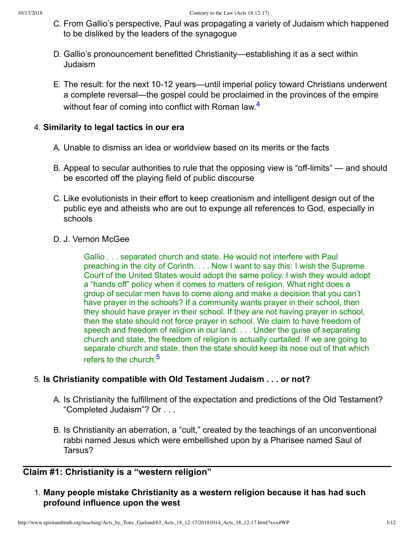- C. From Gallio's perspective, Paul was propagating a variety of Judaism which happened to be disliked by the leaders of the synagogue
- D. Gallio's pronouncement benefitted Christianity—establishing it as a sect within Judaism
- <span id="page-2-0"></span>E. The result: for the next 10-12 years—until imperial policy toward Christians underwent a complete reversal—the gospel could be proclaimed in the provinces of the empire without fear of coming into conflict with Roman law.<sup>[4](#page-10-3)</sup>

## 4. **Similarity to legal tactics in our era**

- A. Unable to dismiss an idea or worldview based on its merits or the facts
- B. Appeal to secular authorities to rule that the opposing view is "off-limits" and should be escorted off the playing field of public discourse
- C. Like evolutionists in their effort to keep creationism and intelligent design out of the public eye and atheists who are out to expunge all references to God, especially in schools

### D. J. Vernon McGee

Gallio . . . separated church and state. He would not interfere with Paul preaching in the city of Corinth. . . . Now I want to say this: I wish the Supreme Court of the United States would adopt the same policy. I wish they would adopt a "hands off" policy when it comes to matters of religion. What right does a group of secular men have to come along and make a decision that you can't have prayer in the schools? If a community wants prayer in their school, then they should have prayer in their school. If they are not having prayer in school, then the state should not force prayer in school. We claim to have freedom of speech and freedom of religion in our land. . . . Under the guise of separating church and state, the freedom of religion is actually curtailed. If we are going to separate church and state, then the state should keep its nose out of that which refers to the church.<sup>[5](#page-10-4)</sup>

## 5. **Is Christianity compatible with Old Testament Judaism . . . or not?**

- <span id="page-2-1"></span>A. Is Christianity the fulfillment of the expectation and predictions of the Old Testament? "Completed Judaism"? Or . . .
- B. Is Christianity an aberration, a "cult," created by the teachings of an unconventional rabbi named Jesus which were embellished upon by a Pharisee named Saul of Tarsus?

## **Claim #1: Christianity is a "western religion"**

1. **Many people mistake Christianity as a western religion because it has had such profound influence upon the west**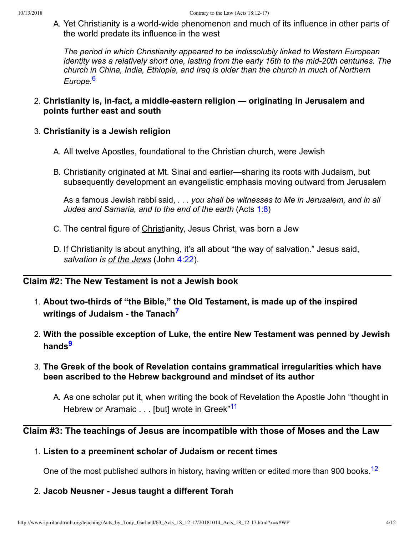A. Yet Christianity is a world-wide phenomenon and much of its influence in other parts of the world predate its influence in the west

<span id="page-3-0"></span>*The period in which Christianity appeared to be indissolubly linked to Western European identity was a relatively short one, lasting from the early 16th to the mid-20th centuries. The church in China, India, Ethiopia, and Iraq is older than the church in much of Northern Europe.*[6](#page-10-5)

2. **Christianity is, infact, a middleeastern religion — originating in Jerusalem and points further east and south**

#### 3. **Christianity is a Jewish religion**

- A. All twelve Apostles, foundational to the Christian church, were Jewish
- B. Christianity originated at Mt. Sinai and earlier—sharing its roots with Judaism, but subsequently development an evangelistic emphasis moving outward from Jerusalem

As a famous Jewish rabbi said, *. . . you shall be witnesses to Me in Jerusalem, and in all Judea and Samaria, and to the end of the earth* (Acts [1:8\)](http://www.spiritandtruth.org/bibles/nasb/b44c001.htm#Acts_C1V8)

- C. The central figure of Christianity, Jesus Christ, was born a Jew
- <span id="page-3-1"></span>D. If Christianity is about anything, it's all about "the way of salvation." Jesus said, *salvation is of the Jews* (John [4:22\)](http://www.spiritandtruth.org/bibles/nasb/b43c004.htm#John_C4V22).

## **Claim #2: The New Testament is not a Jewish book**

- 1. **About twothirds of "the Bible," the Old Testament, is made up of the inspired writings of Judaism the Tanach [7](#page-10-6)**
- <span id="page-3-2"></span>2. **With the possible exception of Luke, the entire New Testament was penned by Jewish hands [9](#page-10-7)**
- 3. **The Greek of the book of Revelation contains grammatical irregularities which have been ascribed to the Hebrew background and mindset of its author**
	- A. As one scholar put it, when writing the book of Revelation the Apostle John "thought in Hebrew or Aramaic . . . [but] wrote in Greek"<sup>[11](#page-10-8)</sup>

## **Claim #3: The teachings of Jesus are incompatible with those of Moses and the Law**

#### 1. **Listen to a preeminent scholar of Judaism or recent times**

<span id="page-3-4"></span><span id="page-3-3"></span>One of the most published authors in history, having written or edited more than 900 books.<sup>[12](#page-10-9)</sup>

2. **Jacob Neusner Jesus taught a different Torah**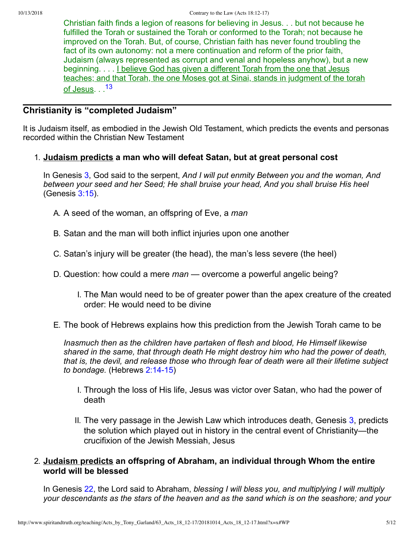<span id="page-4-0"></span>Christian faith finds a legion of reasons for believing in Jesus. . . but not because he fulfilled the Torah or sustained the Torah or conformed to the Torah; not because he improved on the Torah. But, of course, Christian faith has never found troubling the fact of its own autonomy: not a mere continuation and reform of the prior faith, Judaism (always represented as corrupt and venal and hopeless anyhow), but a new beginning. . . . I believe God has given a different Torah from the one that Jesus teaches; and that Torah, the one Moses got at Sinai, stands in judgment of the torah of Jesus. . .<sup>[13](#page-10-10)</sup>

## **Christianity is "completed Judaism"**

It is Judaism itself, as embodied in the Jewish Old Testament, which predicts the events and personas recorded within the Christian New Testament

#### 1. **Judaism predicts a man who will defeat Satan, but at great personal cost**

In Genesis [3,](http://www.spiritandtruth.org/bibles/nasb/b01c003.htm#Gen._C3V1) God said to the serpent, *And I will put enmity Between you and the woman, And between your seed and her Seed; He shall bruise your head, And you shall bruise His heel* (Genesis [3:15\)](http://www.spiritandtruth.org/bibles/nasb/b01c003.htm#Gen._C3V15).

- A. A seed of the woman, an offspring of Eve, a *man*
- B. Satan and the man will both inflict injuries upon one another
- C. Satan's injury will be greater (the head), the man's less severe (the heel)
- D. Question: how could a mere *man* overcome a powerful angelic being?
	- I. The Man would need to be of greater power than the apex creature of the created order: He would need to be divine
- E. The book of Hebrews explains how this prediction from the Jewish Torah came to be

*Inasmuch then as the children have partaken of flesh and blood, He Himself likewise shared in the same, that through death He might destroy him who had the power of death, that is, the devil, and release those who through fear of death were all their lifetime subject to bondage.* (Hebrews 2:14-15)

- I. Through the loss of His life, Jesus was victor over Satan, who had the power of death
- II. The very passage in the Jewish Law which introduces death, Genesis  $3$ , predicts the solution which played out in history in the central event of Christianity—the crucifixion of the Jewish Messiah, Jesus

### 2. **Judaism predicts an offspring of Abraham, an individual through Whom the entire world will be blessed**

In Genesis [22](http://www.spiritandtruth.org/bibles/nasb/b01c022.htm#Gen._C22V1), the Lord said to Abraham, *blessing I will bless you, and multiplying I will multiply your descendants as the stars of the heaven and as the sand which is on the seashore; and your*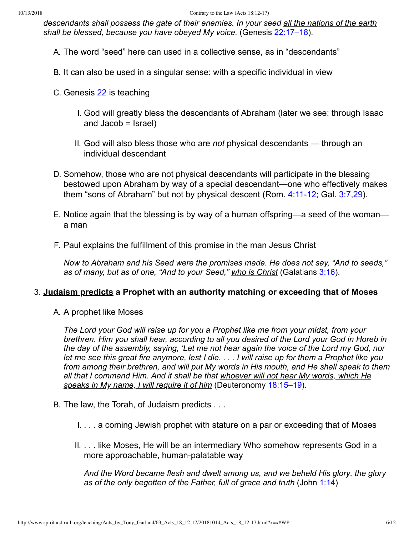*descendants shall possess the gate of their enemies. In your seed all the nations of the earth shall be blessed, because you have obeyed My voice.* (Genesis [22:17–18\)](http://www.spiritandtruth.org/bibles/nasb/b01c022.htm#Gen._C22V17).

- A. The word "seed" here can used in a collective sense, as in "descendants"
- B. It can also be used in a singular sense: with a specific individual in view
- C. Genesis [22](http://www.spiritandtruth.org/bibles/nasb/b01c022.htm#Gen._C22V1) is teaching
	- I. God will greatly bless the descendants of Abraham (later we see: through Isaac and Jacob = Israel)
	- II. God will also bless those who are *not* physical descendants through an individual descendant
- D. Somehow, those who are not physical descendants will participate in the blessing bestowed upon Abraham by way of a special descendant—one who effectively makes them "sons of Abraham" but not by physical descent (Rom.  $4:11-12$ ; Gal.  $3:7,29$  $3:7,29$  $3:7,29$ ).
- E. Notice again that the blessing is by way of a human offspring—a seed of the woman a man
- F. Paul explains the fulfillment of this promise in the man Jesus Christ

*Now to Abraham and his Seed were the promises made. He does not say, "And to seeds," as of many, but as of one, "And to your Seed," who is Christ* (Galatians [3:16\)](http://www.spiritandtruth.org/bibles/nasb/b48c003.htm#Gal._C3V16).

#### 3. **Judaism predicts a Prophet with an authority matching or exceeding that of Moses**

A. A prophet like Moses

*The Lord your God will raise up for you a Prophet like me from your midst, from your brethren. Him you shall hear, according to all you desired of the Lord your God in Horeb in the day of the assembly, saying, 'Let me not hear again the voice of the Lord my God, nor let me see this great fire anymore, lest I die. . . . I will raise up for them a Prophet like you from among their brethren, and will put My words in His mouth, and He shall speak to them all that I command Him. And it shall be that whoever will not hear My words, which He speaks in My name, I will require it of him* (Deuteronomy [18:15–19\)](http://www.spiritandtruth.org/bibles/nasb/b05c018.htm#Deu._C18V15).

- B. The law, the Torah, of Judaism predicts . . .
	- I. . . . a coming Jewish prophet with stature on a par or exceeding that of Moses
	- II. . . . like Moses, He will be an intermediary Who somehow represents God in a more approachable, human-palatable way

*And the Word became flesh and dwelt among us, and we beheld His glory, the glory as of the only begotten of the Father, full of grace and truth* (John [1:14\)](http://www.spiritandtruth.org/bibles/nasb/b43c001.htm#John_C1V14)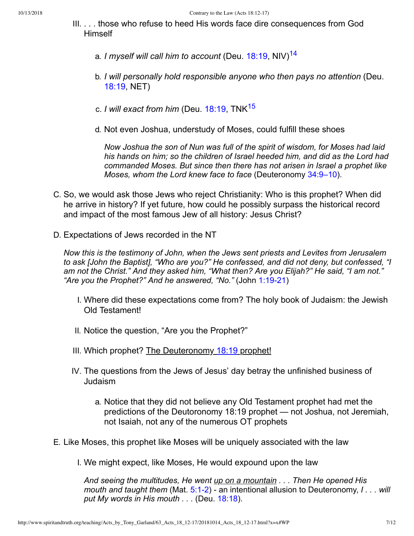- III. . . . those who refuse to heed His words face dire consequences from God **Himself** 
	- a. *I myself will call him to account* (Deu. [18:19,](http://www.spiritandtruth.org/bibles/nasb/b05c018.htm#Deu._C18V19) NIV) [14](#page-10-11)
	- b. *I will personally hold responsible anyone who then pays no attention* (Deu. [18:19,](http://www.spiritandtruth.org/bibles/nasb/b05c018.htm#Deu._C18V19) NET)
	- c. *I will exact from him* (Deu. [18:19](http://www.spiritandtruth.org/bibles/nasb/b05c018.htm#Deu._C18V19), TNK [15](#page-10-12)
	- d. Not even Joshua, understudy of Moses, could fulfill these shoes

<span id="page-6-1"></span><span id="page-6-0"></span>*Now Joshua the son of Nun was full of the spirit of wisdom, for Moses had laid his hands on him; so the children of Israel heeded him, and did as the Lord had commanded Moses. But since then there has not arisen in Israel a prophet like Moses, whom the Lord knew face to face* (Deuteronomy [34:9–10\)](http://www.spiritandtruth.org/bibles/nasb/b05c034.htm#Deu._C34V9).

- C. So, we would ask those Jews who reject Christianity: Who is this prophet? When did he arrive in history? If yet future, how could he possibly surpass the historical record and impact of the most famous Jew of all history: Jesus Christ?
- D. Expectations of Jews recorded in the NT

*Now this is the testimony of John, when the Jews sent priests and Levites from Jerusalem to ask [John the Baptist], "Who are you?" He confessed, and did not deny, but confessed, "I am not the Christ." And they asked him, "What then? Are you Elijah?" He said, "I am not." "Are you the Prophet?" And he answered, "No."* (John [1:1921](http://www.spiritandtruth.org/bibles/nasb/b43c001.htm#John_C1V19))

- I. Where did these expectations come from? The holy book of Judaism: the Jewish Old Testament!
- II. Notice the question, "Are you the Prophet?"
- III. Which prophet? The Deuteronomy [18:19](http://www.spiritandtruth.org/bibles/nasb/b05c018.htm#Deu._C18V19) prophet!
- IV. The questions from the Jews of Jesus' day betray the unfinished business of Judaism
	- a. Notice that they did not believe any Old Testament prophet had met the predictions of the Deutoronomy 18:19 prophet — not Joshua, not Jeremiah, not Isaiah, not any of the numerous OT prophets
- E. Like Moses, this prophet like Moses will be uniquely associated with the law
	- I. We might expect, like Moses, He would expound upon the law

*And seeing the multitudes, He went up on a mountain . . . Then He opened His mouth and taught them* (Mat. 5:1-2) - an intentional allusion to Deuteronomy, *I...* will *put My words in His mouth . . .* (Deu. [18:18\)](http://www.spiritandtruth.org/bibles/nasb/b05c018.htm#Deu._C18V18).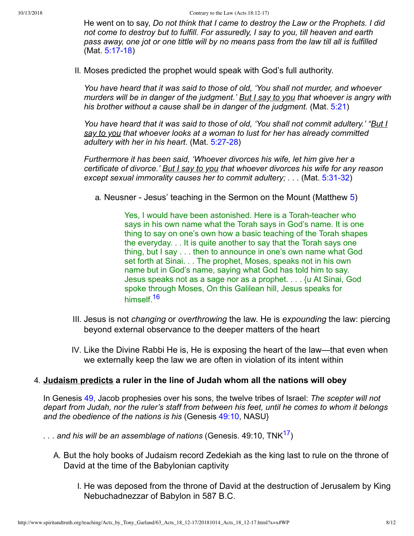He went on to say, *Do not think that I came to destroy the Law or the Prophets. I did not come to destroy but to fulfill. For assuredly, I say to you, till heaven and earth pass away, one jot or one tittle will by no means pass from the law till all is fulfilled*  $(Mat. 5:17-18)$ 

II. Moses predicted the prophet would speak with God's full authority.

*You have heard that it was said to those of old, 'You shall not murder, and whoever murders will be in danger of the judgment.' But I say to you that whoever is angry with his brother without a cause shall be in danger of the judgment.* (Mat. [5:21\)](http://www.spiritandtruth.org/bibles/nasb/b40c005.htm#Mat._C5V21)

*You have heard that it was said to those of old, 'You shall not commit adultery.' "But I say to you that whoever looks at a woman to lust for her has already committed* adultery with her in his heart. (Mat. 5:27-28)

*Furthermore it has been said, 'Whoever divorces his wife, let him give her a certificate of divorce.' But I say to you that whoever divorces his wife for any reason* except sexual immorality causes her to commit adultery; . . . (Mat. 5:31-32)

a. Neusner - Jesus' teaching in the Sermon on the Mount (Matthew [5\)](http://www.spiritandtruth.org/bibles/nasb/b40c005.htm#Mat._C5V1)

Yes, I would have been astonished. Here is a Torah-teacher who says in his own name what the Torah says in God's name. It is one thing to say on one's own how a basic teaching of the Torah shapes the everyday. . . It is quite another to say that the Torah says one thing, but I say . . . then to announce in one's own name what God set forth at Sinai. . . The prophet, Moses, speaks not in his own name but in God's name, saying what God has told him to say. Jesus speaks not as a sage nor as a prophet. . . . {u At Sinai, God spoke through Moses, On this Galilean hill, Jesus speaks for himself.<sup>[16](#page-10-13)</sup>

- <span id="page-7-0"></span>III. Jesus is not *changing* or *overthrowing* the law. He is *expounding* the law: piercing beyond external observance to the deeper matters of the heart
- <span id="page-7-1"></span>IV. Like the Divine Rabbi He is, He is exposing the heart of the law—that even when we externally keep the law we are often in violation of its intent within

#### 4. **Judaism predicts a ruler in the line of Judah whom all the nations will obey**

In Genesis [49](http://www.spiritandtruth.org/bibles/nasb/b01c049.htm#Gen._C49V1), Jacob prophesies over his sons, the twelve tribes of Israel: *The scepter will not depart from Judah, nor the ruler's staff from between his feet, until he comes to whom it belongs and the obedience of the nations is his* (Genesis [49:10,](http://www.spiritandtruth.org/bibles/nasb/b01c049.htm#Gen._C49V10) NASU}

- ... and his will be an assemblage of nations (Genesis. 49:10, TNK<sup>[17](#page-10-14)</sup>)
	- A. But the holy books of Judaism record Zedekiah as the king last to rule on the throne of David at the time of the Babylonian captivity
		- I. He was deposed from the throne of David at the destruction of Jerusalem by King Nebuchadnezzar of Babylon in 587 B.C.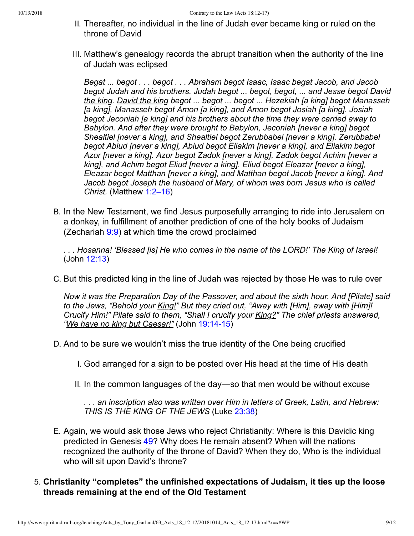- II. Thereafter, no individual in the line of Judah ever became king or ruled on the throne of David
- III. Matthew's genealogy records the abrupt transition when the authority of the line of Judah was eclipsed

*Begat ... begot . . . begot . . . Abraham begot Isaac, Isaac begat Jacob, and Jacob begot Judah and his brothers. Judah begot ... begot, begot, ... and Jesse begot David the king. David the king begot ... begot ... begot ... Hezekiah [a king] begot Manasseh [a king], Manasseh begot Amon [a king], and Amon begot Josiah [a king]. Josiah begot Jeconiah [a king] and his brothers about the time they were carried away to Babylon. And after they were brought to Babylon, Jeconiah [never a king] begot Shealtiel [never a king], and Shealtiel begot Zerubbabel [never a king]. Zerubbabel begot Abiud [never a king], Abiud begot Eliakim [never a king], and Eliakim begot Azor [never a king]. Azor begot Zadok [never a king], Zadok begot Achim [never a king], and Achim begot Eliud [never a king]. Eliud begot Eleazar [never a king], Eleazar begot Matthan [never a king], and Matthan begot Jacob [never a king]. And Jacob begot Joseph the husband of Mary, of whom was born Jesus who is called Christ.* (Matthew [1:2–16\)](http://www.spiritandtruth.org/bibles/nasb/b40c001.htm#Mat._C1V2)

B. In the New Testament, we find Jesus purposefully arranging to ride into Jerusalem on a donkey, in fulfillment of another prediction of one of the holy books of Judaism (Zechariah [9:9](http://www.spiritandtruth.org/bibles/nasb/b38c009.htm#Zec._C9V9)) at which time the crowd proclaimed

*. . . Hosanna! 'Blessed [is] He who comes in the name of the LORD!' The King of Israel!* (John [12:13\)](http://www.spiritandtruth.org/bibles/nasb/b43c012.htm#John_C12V13)

C. But this predicted king in the line of Judah was rejected by those He was to rule over

*Now it was the Preparation Day of the Passover, and about the sixth hour. And [Pilate] said to the Jews, "Behold your King!" But they cried out, "Away with [Him], away with [Him]! Crucify Him!" Pilate said to them, "Shall I crucify your King?" The chief priests answered, "We have no king but Caesar!"* (John 19:14-15)

D. And to be sure we wouldn't miss the true identity of the One being crucified

I. God arranged for a sign to be posted over His head at the time of His death

II. In the common languages of the day—so that men would be without excuse

*. . . an inscription also was written over Him in letters of Greek, Latin, and Hebrew: THIS IS THE KING OF THE JEWS* (Luke [23:38](http://www.spiritandtruth.org/bibles/nasb/b42c023.htm#Luke_C23V38))

- E. Again, we would ask those Jews who reject Christianity: Where is this Davidic king predicted in Genesis [49](http://www.spiritandtruth.org/bibles/nasb/b01c049.htm#Gen._C49V1)? Why does He remain absent? When will the nations recognized the authority of the throne of David? When they do, Who is the individual who will sit upon David's throne?
- 5. **Christianity "completes" the unfinished expectations of Judaism, it ties up the loose threads remaining at the end of the Old Testament**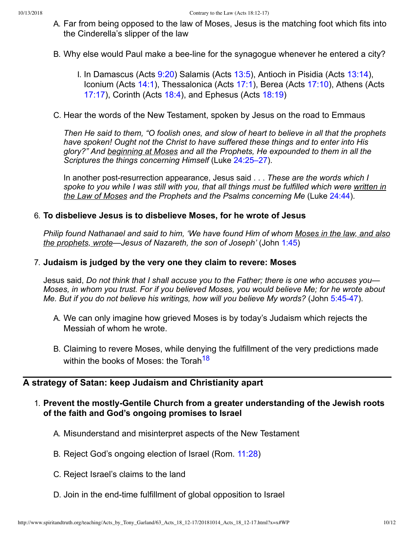- A. Far from being opposed to the law of Moses, Jesus is the matching foot which fits into the Cinderella's slipper of the law
- B. Why else would Paul make a bee-line for the synagogue whenever he entered a city?
	- I. In Damascus (Acts  $9:20$ ) Salamis (Acts  $13:5$ ), Antioch in Pisidia (Acts  $13:14$ ), Iconium (Acts [14:1](http://www.spiritandtruth.org/bibles/nasb/b44c014.htm#Acts_C14V1)), Thessalonica (Acts [17:1](http://www.spiritandtruth.org/bibles/nasb/b44c017.htm#Acts_C17V1)), Berea (Acts [17:10](http://www.spiritandtruth.org/bibles/nasb/b44c017.htm#Acts_C17V10)), Athens (Acts [17:17\)](http://www.spiritandtruth.org/bibles/nasb/b44c017.htm#Acts_C17V17), Corinth (Acts [18:4](http://www.spiritandtruth.org/bibles/nasb/b44c018.htm#Acts_C18V4)), and Ephesus (Acts [18:19\)](http://www.spiritandtruth.org/bibles/nasb/b44c018.htm#Acts_C18V19)
- C. Hear the words of the New Testament, spoken by Jesus on the road to Emmaus

*Then He said to them, "O foolish ones, and slow of heart to believe in all that the prophets have spoken! Ought not the Christ to have suffered these things and to enter into His glory?" And beginning at Moses and all the Prophets, He expounded to them in all the Scriptures the things concerning Himself* (Luke [24:25–27\)](http://www.spiritandtruth.org/bibles/nasb/b42c024.htm#Luke_C24V25).

In another post-resurrection appearance, Jesus said . . . These are the words which I *spoke to you while I was still with you, that all things must be fulfilled which were written in the Law of Moses and the Prophets and the Psalms concerning Me* (Luke [24:44](http://www.spiritandtruth.org/bibles/nasb/b42c024.htm#Luke_C24V44)).

#### 6. **To disbelieve Jesus is to disbelieve Moses, for he wrote of Jesus**

*Philip found Nathanael and said to him, 'We have found Him of whom Moses in the law, and also the prophets, wrote—Jesus of Nazareth, the son of Joseph'* (John [1:45\)](http://www.spiritandtruth.org/bibles/nasb/b43c001.htm#John_C1V45)

#### 7. **Judaism is judged by the very one they claim to revere: Moses**

Jesus said, *Do not think that I shall accuse you to the Father; there is one who accuses you— Moses, in whom you trust. For if you believed Moses, you would believe Me; for he wrote about Me. But if you do not believe his writings, how will you believe My words?* (John 5:45-47).

- A. We can only imagine how grieved Moses is by today's Judaism which rejects the Messiah of whom he wrote.
- <span id="page-9-0"></span>B. Claiming to revere Moses, while denying the fulfillment of the very predictions made within the books of Moses: the Torah<sup>[18](#page-10-15)</sup>

## **A strategy of Satan: keep Judaism and Christianity apart**

- 1. **Prevent the mostlyGentile Church from a greater understanding of the Jewish roots of the faith and God's ongoing promises to Israel**
	- A. Misunderstand and misinterpret aspects of the New Testament
	- B. Reject God's ongoing election of Israel (Rom. [11:28\)](http://www.spiritandtruth.org/bibles/nasb/b45c011.htm#Rom._C11V28)
	- C. Reject Israel's claims to the land
	- D. Join in the end-time fulfillment of global opposition to Israel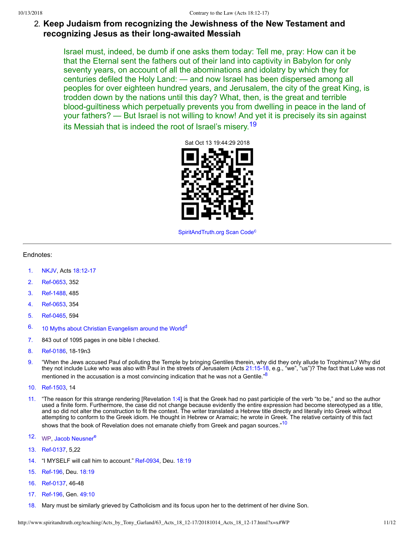### 2. **Keep Judaism from recognizing the Jewishness of the New Testament and recognizing Jesus as their longawaited Messiah**

Israel must, indeed, be dumb if one asks them today: Tell me, pray: How can it be that the Eternal sent the fathers out of their land into captivity in Babylon for only seventy years, on account of all the abominations and idolatry by which they for centuries defiled the Holy Land: — and now Israel has been dispersed among all peoples for over eighteen hundred years, and Jerusalem, the city of the great King, is trodden down by the nations until this day? What, then, is the great and terrible blood-quiltiness which perpetually prevents you from dwelling in peace in the land of your fathers? — But Israel is not willing to know! And yet it is precisely its sin against its Messiah that is indeed the root of Israel's misery.<sup>[19](#page-11-2)</sup>

<span id="page-10-20"></span>

<span id="page-10-22"></span><span id="page-10-21"></span><span id="page-10-18"></span><span id="page-10-16"></span>[SpiritAndTruth.org](http://www.spiritandtruth.org/) S[c](#page-11-3)an Code<sup>c</sup>

#### Endnotes:

- <span id="page-10-0"></span>[1.](#page-0-0) [NKJV,](#page-11-4) Acts 18:12-17
- <span id="page-10-1"></span>[2.](#page-0-1) Ref-0653, 352
- <span id="page-10-2"></span>[3.](#page-1-0) Ref-1488, 485
- <span id="page-10-3"></span>[4.](#page-2-0) Ref-0653, 354
- <span id="page-10-4"></span>[5.](#page-2-1) Ref-0465, 594
- <span id="page-10-5"></span> $6.$  10 Myths about Christian [Evangelism](https://www.crosswalk.com/blogs/christian-trends/top-10-myths-about-christian-evangelism-around-the-world.html) aroun[d](#page-11-8) the World $d$
- <span id="page-10-6"></span>[7.](#page-3-1) 843 out of 1095 pages in one bible I checked.
- <span id="page-10-17"></span>[8.](#page-10-16) Ref-0186, 18-19n3
- <span id="page-10-7"></span>[9.](#page-3-2) "When the Jews accused Paul of polluting the Temple by bringing Gentiles therein, why did they only allude to Trophimus? Why did they not include Luke who was also with Paul in the streets of Jerusalem (Acts 21:15-18, e.g., "we", "us")? The fact that Luke was not mentioned in the accusation is a most convincing indication that he was not a Gentile."<sup>[8](#page-10-17)</sup>
- <span id="page-10-19"></span>[10.](#page-10-18) Ref-1503, 14
- <span id="page-10-8"></span>[11.](#page-3-3) "The reason for this strange rendering [Revelation [1:4](http://www.spiritandtruth.org/bibles/nasb/b66c001.htm#Rev._C1V4)] is that the Greek had no past participle of the verb "to be," and so the author used a finite form. Furthermore, the case did not change because evidently the entire expression had become stereotyped as a title, and so did not alter the construction to fit the context. The writer translated a Hebrew title directly and literally into Greek without attempting to conform to the Greek idiom. He thought in Hebrew or Aramaic; he wrote in Greek. The relative certainty of this fact shows that the book of Revelation does not emanate chiefly from Greek and pagan sources."<sup>[10](#page-10-19)</sup>
- <span id="page-10-23"></span><span id="page-10-9"></span>[12.](#page-3-4) [WP,](#page-11-11) Jacob [Neusner](https://en.wikipedia.org/wiki/Jacob_Neusner)<sup>[e](#page-11-12)</sup>
- <span id="page-10-10"></span>[13.](#page-4-0) Ref-0137, 5,22
- <span id="page-10-11"></span>[14.](#page-6-0) "I MYSELF will call him to account." Ref-0934, Deu. [18:19](http://www.spiritandtruth.org/bibles/nasb/b05c018.htm#Deu._C18V19)
- <span id="page-10-12"></span>[15.](#page-6-1) Ref-196. Deu. [18:19](http://www.spiritandtruth.org/bibles/nasb/b05c018.htm#Deu._C18V19)
- <span id="page-10-13"></span>[16.](#page-7-0) Ref-0137, 46-48
- <span id="page-10-14"></span>[17.](#page-7-1) Ref-196, Gen. [49:10](http://www.spiritandtruth.org/bibles/nasb/b01c049.htm#Gen._C49V10)
- <span id="page-10-15"></span>[18.](#page-9-0) Mary must be similarly grieved by Catholicism and its focus upon her to the detriment of her divine Son.